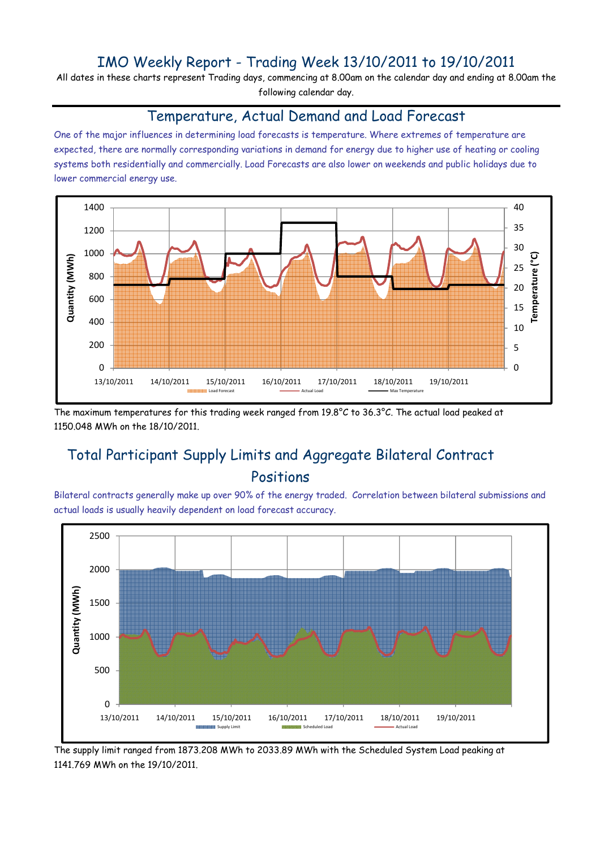## IMO Weekly Report - Trading Week 13/10/2011 to 19/10/2011

All dates in these charts represent Trading days, commencing at 8.00am on the calendar day and ending at 8.00am the following calendar day.

#### Temperature, Actual Demand and Load Forecast

One of the major influences in determining load forecasts is temperature. Where extremes of temperature are expected, there are normally corresponding variations in demand for energy due to higher use of heating or cooling systems both residentially and commercially. Load Forecasts are also lower on weekends and public holidays due to lower commercial energy use.



The maximum temperatures for this trading week ranged from 19.8°C to 36.3°C. The actual load peaked at 1150.048 MWh on the 18/10/2011.

# Total Participant Supply Limits and Aggregate Bilateral Contract Positions

Bilateral contracts generally make up over 90% of the energy traded. Correlation between bilateral submissions and actual loads is usually heavily dependent on load forecast accuracy.



The supply limit ranged from 1873.208 MWh to 2033.89 MWh with the Scheduled System Load peaking at 1141.769 MWh on the 19/10/2011.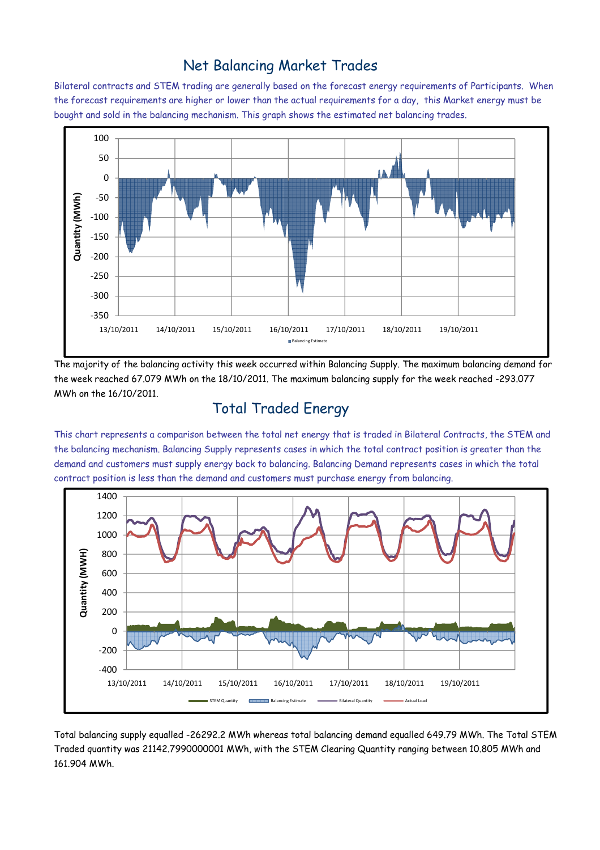### Net Balancing Market Trades

Bilateral contracts and STEM trading are generally based on the forecast energy requirements of Participants. When the forecast requirements are higher or lower than the actual requirements for a day, this Market energy must be bought and sold in the balancing mechanism. This graph shows the estimated net balancing trades.



The majority of the balancing activity this week occurred within Balancing Supply. The maximum balancing demand for the week reached 67.079 MWh on the 18/10/2011. The maximum balancing supply for the week reached -293.077 MWh on the 16/10/2011.

### Total Traded Energy

This chart represents a comparison between the total net energy that is traded in Bilateral Contracts, the STEM and the balancing mechanism. Balancing Supply represents cases in which the total contract position is greater than the demand and customers must supply energy back to balancing. Balancing Demand represents cases in which the total contract position is less than the demand and customers must purchase energy from balancing.



Total balancing supply equalled -26292.2 MWh whereas total balancing demand equalled 649.79 MWh. The Total STEM Traded quantity was 21142.7990000001 MWh, with the STEM Clearing Quantity ranging between 10.805 MWh and 161.904 MWh.